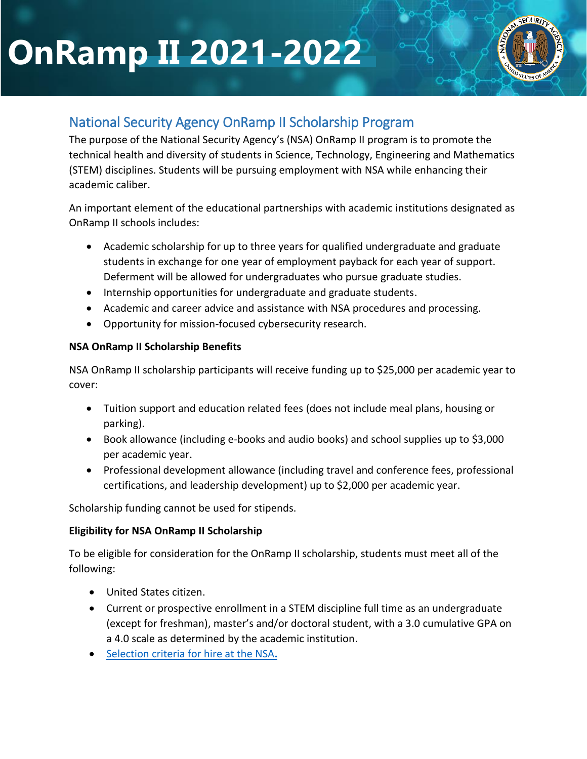# **OnRamp II 2021-2022**



# National Security Agency OnRamp II Scholarship Program

The purpose of the National Security Agency's (NSA) OnRamp II program is to promote the technical health and diversity of students in Science, Technology, Engineering and Mathematics (STEM) disciplines. Students will be pursuing employment with NSA while enhancing their academic caliber.

An important element of the educational partnerships with academic institutions designated as OnRamp II schools includes:

- Academic scholarship for up to three years for qualified undergraduate and graduate students in exchange for one year of employment payback for each year of support. Deferment will be allowed for undergraduates who pursue graduate studies.
- Internship opportunities for undergraduate and graduate students.
- Academic and career advice and assistance with NSA procedures and processing.
- Opportunity for mission-focused cybersecurity research.

# **NSA OnRamp II Scholarship Benefits**

NSA OnRamp II scholarship participants will receive funding up to \$25,000 per academic year to cover:

- Tuition support and education related fees (does not include meal plans, housing or parking).
- Book allowance (including e-books and audio books) and school supplies up to \$3,000 per academic year.
- Professional development allowance (including travel and conference fees, professional certifications, and leadership development) up to \$2,000 per academic year.

Scholarship funding cannot be used for stipends.

#### **Eligibility for NSA OnRamp II Scholarship**

To be eligible for consideration for the OnRamp II scholarship, students must meet all of the following:

- United States citizen.
- Current or prospective enrollment in a STEM discipline full time as an undergraduate (except for freshman), master's and/or doctoral student, with a 3.0 cumulative GPA on a 4.0 scale as determined by the academic institution.
- [Selection criteria for hire at the NSA](https://www.intelligencecareers.gov/icapply.html)**.**